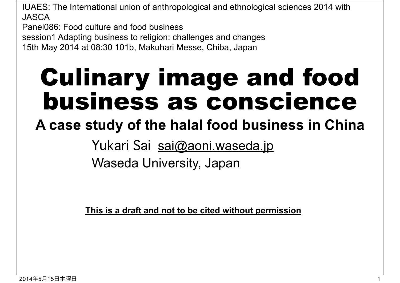IUAES: The International union of anthropological and ethnological sciences 2014 with JASCA

Panel086: Food culture and food business

session1 Adapting business to religion: challenges and changes

15th May 2014 at 08:30 101b, Makuhari Messe, Chiba, Japan

## Culinary image and food business as conscience

### **A case study of the halal food business in China**

Yukari Sai sai@aoni.waseda.jp Waseda University, Japan

**This is a draft and not to be cited without permission**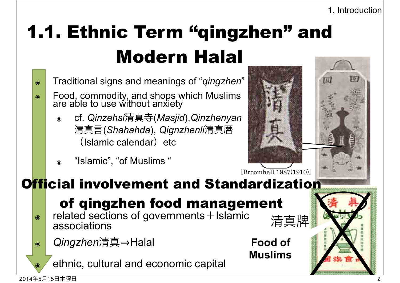### 1.1. Ethnic Term "qingzhen" and Modern Halal

- ๏ Traditional signs and meanings of "*qingzhen*"
- ๏ Food, commodity, and shops which Muslims are able to use without anxiety
	- ๏ cf. *Qinzehsi*清真寺(*Masjid*),*Qinzhenyan* 清真言(*Shahahda*), *Qignzhenli*清真暦  $(Islamic calendar)$  etc
	- "Islamic", "of Muslims"



**Food of** 

清真牌

**Muslims**



### Official involvement and Standardization

### of qingzhen food management

- $\bullet$  related sections of governments + Islamic associations
- **◎ | Qingzhen清真⇒Halal**

ethnic, cultural and economic capital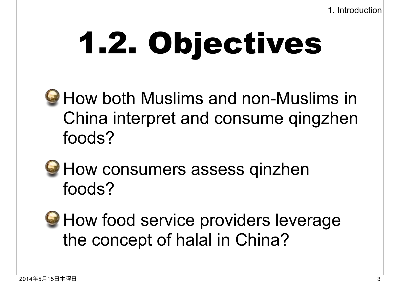# 1.2. Objectives

- **G** How both Muslims and non-Muslims in China interpret and consume qingzhen foods?
- **G** How consumers assess qinzhen foods?
- **How food service providers leverage** the concept of halal in China?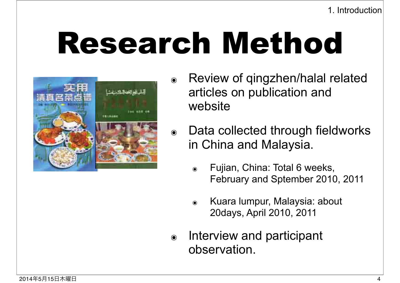1. Introduction

## Research Method



- ๏ Review of qingzhen/halal related articles on publication and website
- ๏ Data collected through fieldworks in China and Malaysia.
	- ๏ Fujian, China: Total 6 weeks, February and Sptember 2010, 2011
	- ๏ Kuara lumpur, Malaysia: about 20days, April 2010, 2011
- ๏ Interview and participant observation.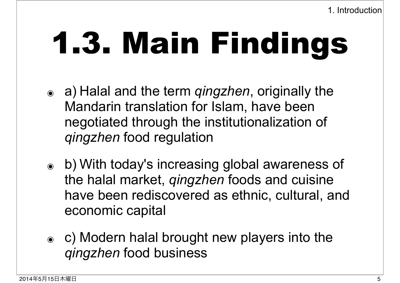# 1.3. Main Findings

- ๏ a) Halal and the term *qingzhen*, originally the Mandarin translation for Islam, have been negotiated through the institutionalization of *qingzhen* food regulation
- ๏ b) With today's increasing global awareness of the halal market, *qingzhen* foods and cuisine have been rediscovered as ethnic, cultural, and economic capital
- ๏ c) Modern halal brought new players into the *qingzhen* food business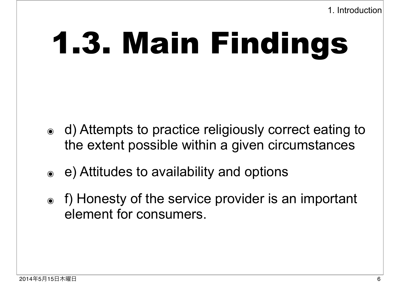1. Introduction

## 1.3. Main Findings

- ๏ d) Attempts to practice religiously correct eating to the extent possible within a given circumstances
- ๏ e) Attitudes to availability and options
- ๏ f) Honesty of the service provider is an important element for consumers.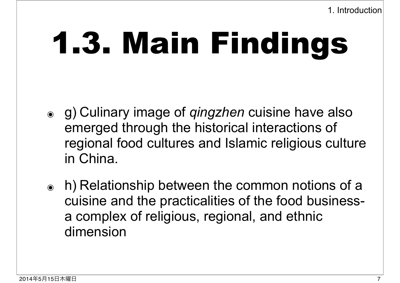# 1.3. Main Findings

- ๏ g) Culinary image of *qingzhen* cuisine have also emerged through the historical interactions of regional food cultures and Islamic religious culture in China.
- ๏ h) Relationship between the common notions of a cuisine and the practicalities of the food businessa complex of religious, regional, and ethnic dimension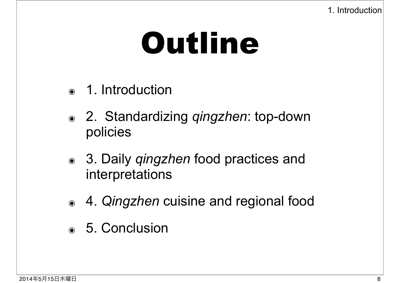## Outline

- ๏ 1. Introduction
- ๏ 2. Standardizing *qingzhen*: top-down policies
- ๏ 3. Daily *qingzhen* food practices and interpretations
- ๏ 4. *Qingzhen* cuisine and regional food
- ๏ 5. Conclusion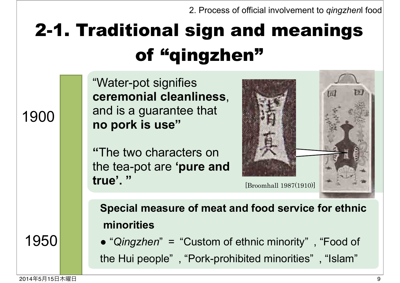### 2-1. Traditional sign and meanings of "qingzhen"

"Water-pot signifies **ceremonial cleanliness**, and is a guarantee that **no pork is use"**

**"**The two characters on the tea-pot are **'pure and true'.** " [Broomhall 1987(1910)]



**Special measure of meat and food service for ethnic (minorities**

• "Qingzhen" = "Custom of ethnic minority", "Food of the Hui people", "Pork-prohibited minorities", "Islam"

1950

1900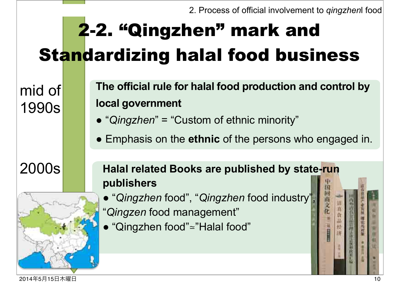### 2-2. "Qingzhen" mark and Standardizing halal food business

mid of 1990s

- The official rule for halal food production and control by **local government**
- "Qingzhen" = "Custom of ethnic minority"
- Emphasis on the **ethnic** of the persons who engaged in.



#### 2000s **Halal related Books are published by state-run publishers**

- "*Qingzhen* food", "*Qingzhen* food industry", "*Qingzen* food management"
- "Qingzhen food"≃"Halal food"

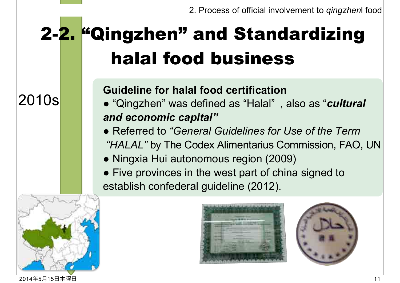### 2-2. "Qingzhen" and Standardizing halal food business

2010s

#### **Guideline for halal food certification**

- "Qingzhen" was defined as "Halal", also as "*cultural* and economic capital"
- Referred to "General Guidelines for Use of the Term "HALAL" by The Codex Alimentarius Commission, FAO, UN
- Ningxia Hui autonomous region (2009)
- Five provinces in the west part of china signed to establish confederal guideline (2012).





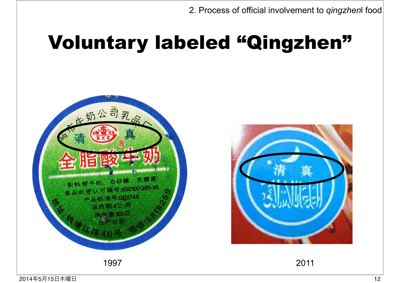### Voluntary labeled "Qingzhen"





2014年5月15日木曜日 12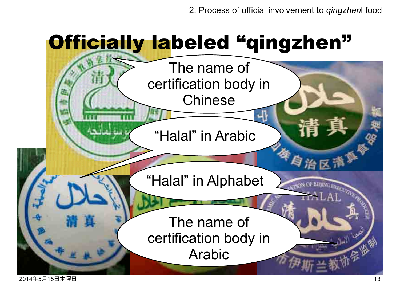## **Officially labeled "qingzhen"**

The name of certification body in **Chinese** 

"Halal" in Arabic

"Halal" in Alphabet

The name of certification body in Arabic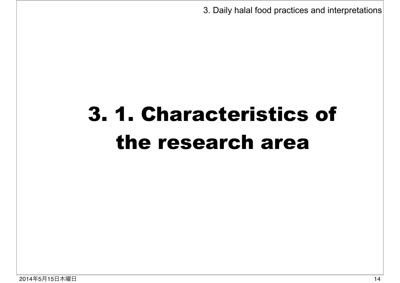3. Daily halal food practices and interpretations

## 3. 1. Characteristics of the research area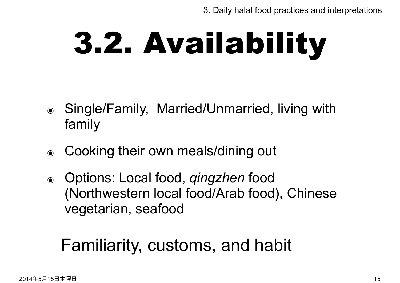# 3.2. Availability

- ๏ Single/Family, Married/Unmarried, living with family
- ๏ Cooking their own meals/dining out
- ๏ Options: Local food, *qingzhen* food (Northwestern local food/Arab food), Chinese vegetarian, seafood

### Familiarity, customs, and habit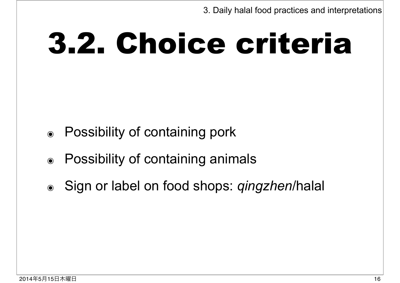## 3.2. Choice criteria

- ๏ Possibility of containing pork
- ๏ Possibility of containing animals
- ๏ Sign or label on food shops: *qingzhen*/halal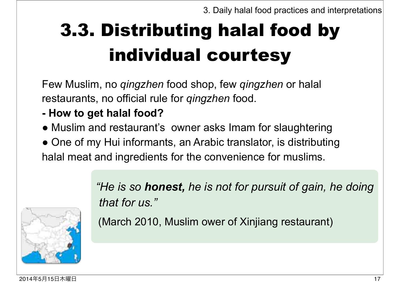## 3.3. Distributing halal food by individual courtesy

Few Muslim, no *qingzhen* food shop, few *qingzhen* or halal restaurants, no official rule for *qingzhen* food.

- **How to get halal food?**
- Muslim and restaurant's owner asks Imam for slaughtering
- One of my Hui informants, an Arabic translator, is distributing halal meat and ingredients for the convenience for muslims.



*"He is so honest, he is not for pursuit of gain, he doing that for us."* 

(March 2010, Muslim ower of Xinjiang restaurant)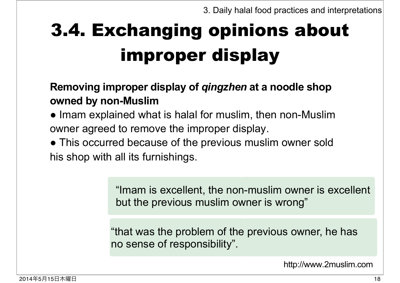## 3.4. Exchanging opinions about improper display

#### Removing improper display of *qingzhen* at a noodle shop owned by non-Muslim

- Imam explained what is halal for muslim, then non-Muslim owner agreed to remove the improper display.
- This occurred because of the previous muslim owner sold his shop with all its furnishings.

"Imam is excellent, the non-muslim owner is excellent but the previous muslim owner is wrong"

"that was the problem of the previous owner, he has no sense of responsibility".

http://www.2muslim.com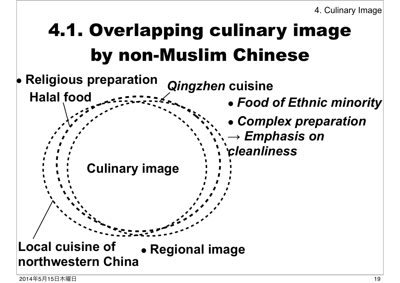## 4.1. Overlapping culinary image by non-Muslim Chinese

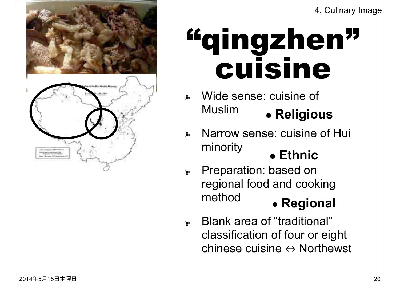

## "qingzhen" cuisine

- Wide sense: cuisine of **Muslim** ● **Religious**
- ๏ Narrow sense: cuisine of Hui minority
	- **Ethnic**
- ๏ Preparation: based on regional food and cooking method ● **Regional**
- ๏ Blank area of "traditional" classification of four or eight chinese cuisine  $\Leftrightarrow$  Northewst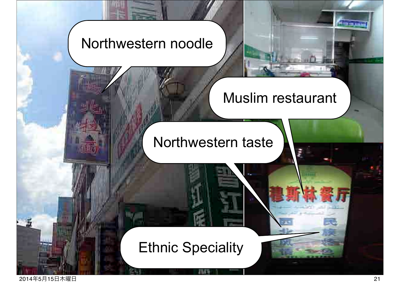#### Northwestern noodle

#### Muslim restaurant

Northwestern taste

#### Ethnic Speciality

2014年5月15日木曜日 21

**STAFFIED BUNEAU**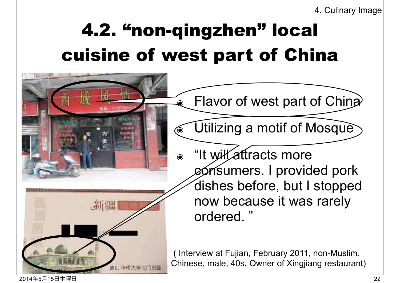4. Culinary Image

### 4.2. "non-qingzhen" local cuisine of west part of China



2014年5月15日木曜日 22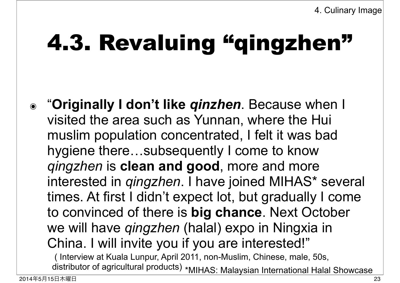## 4.3. Revaluing "qingzhen"

๏ "**Originally I don't like** *qinzhen*. Because when I visited the area such as Yunnan, where the Hui muslim population concentrated, I felt it was bad hygiene there…subsequently I come to know *qingzhen* is **clean and good**, more and more interested in *qingzhen*. I have joined MIHAS\* several times. At first I didn't expect lot, but gradually I come to convinced of there is **big chance**. Next October we will have *qingzhen* (halal) expo in Ningxia in China. I will invite you if you are interested!" distributor of agricultural products) \*MIHAS: Malaysian International Halal Showcase ( Interview at Kuala Lunpur, April 2011, non-Muslim, Chinese, male, 50s,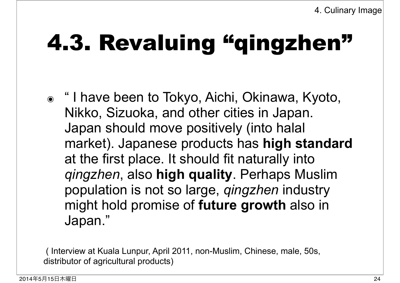## 4.3. Revaluing "qingzhen"

๏ " I have been to Tokyo, Aichi, Okinawa, Kyoto, Nikko, Sizuoka, and other cities in Japan. Japan should move positively (into halal market). Japanese products has **high standard** at the first place. It should fit naturally into *qingzhen*, also **high quality**. Perhaps Muslim population is not so large, *qingzhen* industry might hold promise of **future growth** also in Japan."

 ( Interview at Kuala Lunpur, April 2011, non-Muslim, Chinese, male, 50s, distributor of agricultural products)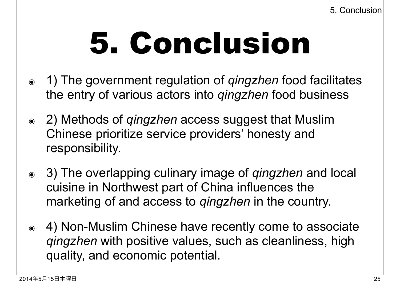## 5. Conclusion

- ๏ 1) The government regulation of *qingzhen* food facilitates the entry of various actors into *qingzhen* food business
- ๏ 2) Methods of *qingzhen* access suggest that Muslim Chinese prioritize service providers' honesty and responsibility.
- ๏ 3) The overlapping culinary image of *qingzhen* and local cuisine in Northwest part of China influences the marketing of and access to *qingzhen* in the country.
- ๏ 4) Non-Muslim Chinese have recently come to associate *qingzhen* with positive values, such as cleanliness, high quality, and economic potential.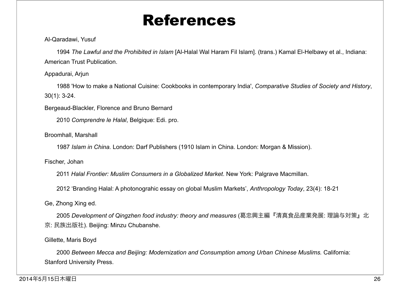### References

#### Al-Qaradawi, Yusuf

 1994 *The Lawful and the Prohibited in Islam* [Al-Halal Wal Haram Fil Islam]. (trans.) Kamal El-Helbawy et al., Indiana: American Trust Publication.

#### Appadurai, Arjun

 1988 'How to make a National Cuisine: Cookbooks in contemporary India', *Comparative Studies of Society and History*, 30(1): 3-24.

Bergeaud-Blackler, Florence and Bruno Bernard

2010 *Comprendre le Halal*, Belgique: Edi. pro.

Broomhall, Marshall

1987 *Islam in China.* London: Darf Publishers (1910 Islam in China. London: Morgan & Mission).

Fischer, Johan

2011 *Halal Frontier: Muslim Consumers in a Globalized Market*. New York: Palgrave Macmillan.

2012 'Branding Halal: A photonograhic essay on global Muslim Markets', *Anthropology Today*, 23(4): 18-21

Ge, Zhong Xing ed.

 2005 *Development of Qingzhen food industry: theory and measures* (葛忠興主編『清真食品産業発展: 理論与対策』北 京: 民族出版社). Beijing: Minzu Chubanshe.

#### Gillette, Maris Boyd

 2000 *Between Mecca and Beijing: Modernization and Consumption among Urban Chinese Muslims.* California: Stanford University Press.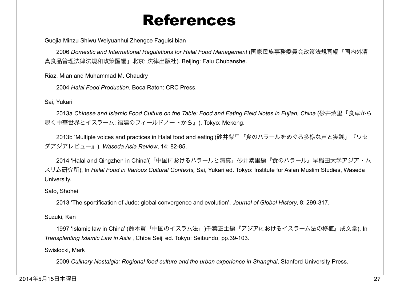#### References

Guojia Minzu Shiwu Weiyuanhui Zhengce Faguisi bian

 2006 *Domestic and International Regulations for Halal Food Management* (国家民族事務委員会政策法規司編『国内外清 真食品管理法律法規和政策匯編』北京: 法律出版社). Beijing: Falu Chubanshe.

Riaz, Mian and Muhammad M. Chaudry

2004 *Halal Food Production*. Boca Raton: CRC Press.

Sai, Yukari

 2013a *Chinese and Islamic Food Culture on the Table: Food and Eating Field Notes in Fujian, China* (砂井紫里『食卓から 覗く中華世界とイスラーム: 福建のフィールドノートから』). Tokyo: Mekong.

 2013b 'Multiple voices and practices in Halal food and eating'(砂井紫里「食のハラールをめぐる多様な声と実践」『ワセ ダアジアレビュー』), *Waseda Asia Review*, 14: 82-85.

 2014 'Halal and Qingzhen in China'(「中国におけるハラールと清真」砂井紫里編『食のハラール』早稲田大学アジア・ム スリム研究所), In *Halal Food in Various Cultural Contexts,* Sai, Yukari ed. Tokyo: Institute for Asian Muslim Studies, Waseda University.

Sato, Shohei

2013 'The sportification of Judo: global convergence and evolution', *Journal of Global History*, 8: 299-317.

Suzuki, Ken

 1997 'Islamic law in China' (鈴木賢「中国のイスラム法」)千葉正士編『アジアにおけるイスラーム法の移植』成文堂). In *Transplanting Islamic Law in Asia* , Chiba Seiji ed. Tokyo: Seibundo, pp.39-103.

Swislocki, Mark

2009 *Culinary Nostalgia: Regional food culture and the urban experience in Shanghai*, Stanford University Press.